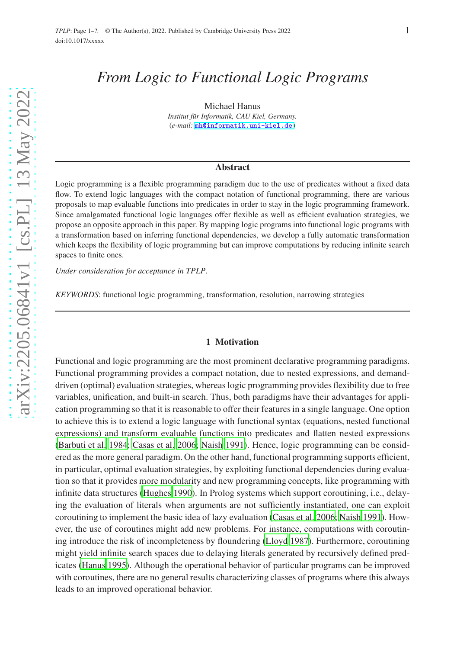# *From Logic to Functional Logic Programs*

Michael Hanus Institut für Informatik, CAU Kiel, Germany. (*e-mail:* [mh@informatik.uni-kiel.de](mailto:mh@informatik.uni-kiel.de))

#### Abstract

Logic programming is a flexible programming paradigm due to the use of predicates without a fixed data flow. To extend logic languages with the compact notation of functional programming, there are various proposals to map evaluable functions into predicates in order to stay in the logic programming framework. Since amalgamated functional logic languages offer flexible as well as efficient evaluation strategies, we propose an opposite approach in this paper. By mapping logic programs into functional logic programs with a transformation based on inferring functional dependencies, we develop a fully automatic transformation which keeps the flexibility of logic programming but can improve computations by reducing infinite search spaces to finite ones.

*Under consideration for acceptance in TPLP*.

*KEYWORDS*: functional logic programming, transformation, resolution, narrowing strategies

## 1 Motivation

Functional and logic programming are the most prominent declarative programming paradigms. Functional programming provides a compact notation, due to nested expressions, and demanddriven (optimal) evaluation strategies, whereas logic programming provides flexibility due to free variables, unification, and built-in search. Thus, both paradigms have their advantages for application programming so that it is reasonable to offer their features in a single language. One option to achieve this is to extend a logic language with functional syntax (equations, nested functional expressions) and transform evaluable functions into predicates and flatten nested expressions [\(Barbuti et al. 1984;](#page-14-0) [Casas et al. 2006;](#page-14-1) [Naish 1991\)](#page-15-0). Hence, logic programming can be considered as the more general paradigm. On the other hand, functional programming supports efficient, in particular, optimal evaluation strategies, by exploiting functional dependencies during evaluation so that it provides more modularity and new programming concepts, like programming with infinite data structures [\(Hughes 1990](#page-15-1)). In Prolog systems which support coroutining, i.e., delaying the evaluation of literals when arguments are not sufficiently instantiated, one can exploit coroutining to implement the basic idea of lazy evaluation [\(Casas et al. 2006;](#page-14-1) [Naish 1991\)](#page-15-0). However, the use of coroutines might add new problems. For instance, computations with coroutining introduce the risk of incompleteness by floundering [\(Lloyd 1987\)](#page-15-2). Furthermore, coroutining might yield infinite search spaces due to delaying literals generated by recursively defined predicates [\(Hanus 1995](#page-14-2)). Although the operational behavior of particular programs can be improved with coroutines, there are no general results characterizing classes of programs where this always leads to an improved operational behavior.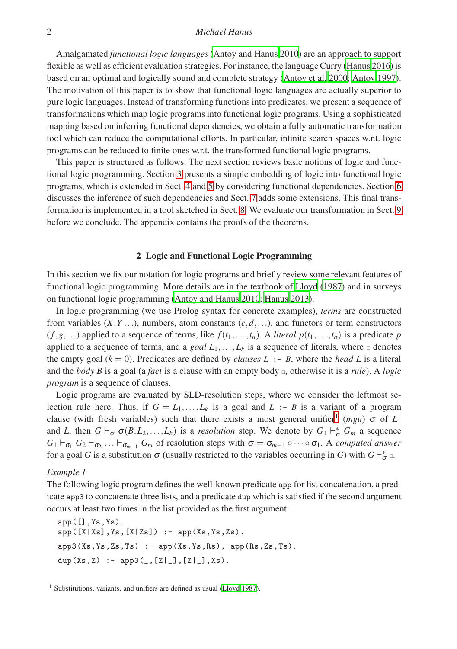# 2 *Michael Hanus*

Amalgamated *functional logic languages* [\(Antoy and Hanus 2010](#page-14-3)) are an approach to support flexible as well as efficient evaluation strategies. For instance, the language Curry [\(Hanus 2016\)](#page-15-3) is based on an optimal and logically sound and complete strategy [\(Antoy et al. 2000](#page-14-4); [Antoy 1997\)](#page-14-5). The motivation of this paper is to show that functional logic languages are actually superior to pure logic languages. Instead of transforming functions into predicates, we present a sequence of transformations which map logic programs into functional logic programs. Using a sophisticated mapping based on inferring functional dependencies, we obtain a fully automatic transformation tool which can reduce the computational efforts. In particular, infinite search spaces w.r.t. logic programs can be reduced to finite ones w.r.t. the transformed functional logic programs.

This paper is structured as follows. The next section reviews basic notions of logic and functional logic programming. Section [3](#page-3-0) presents a simple embedding of logic into functional logic programs, which is extended in Sect. [4](#page-4-0) and [5](#page-6-0) by considering functional dependencies. Section [6](#page-7-0) discusses the inference of such dependencies and Sect. [7](#page-10-0) adds some extensions. This final transformation is implemented in a tool sketched in Sect. [8.](#page-11-0) We evaluate our transformation in Sect. [9](#page-11-1) before we conclude. The appendix contains the proofs of the theorems.

## 2 Logic and Functional Logic Programming

In this section we fix our notation for logic programs and briefly review some relevant features of functional logic programming. More details are in the textbook of [Lloyd \(1987\)](#page-15-2) and in surveys on functional logic programming [\(Antoy and Hanus 2010;](#page-14-3) [Hanus 2013\)](#page-15-4).

In logic programming (we use Prolog syntax for concrete examples), *terms* are constructed from variables  $(X, Y, \ldots)$ , numbers, atom constants  $(c, d, \ldots)$ , and functors or term constructors  $(f, g, \ldots)$  applied to a sequence of terms, like  $f(t_1, \ldots, t_n)$ . A *literal*  $p(t_1, \ldots, t_n)$  is a predicate  $p$ applied to a sequence of terms, and a *goal*  $L_1, \ldots, L_k$  is a sequence of literals, where  $\Box$  denotes the empty goal  $(k = 0)$ . Predicates are defined by *clauses*  $L : B$ , where the *head*  $L$  is a literal and the *body B* is a goal (a *fact* is a clause with an empty body  $\Box$ , otherwise it is a *rule*). A *logic program* is a sequence of clauses.

Logic programs are evaluated by SLD-resolution steps, where we consider the leftmost selection rule here. Thus, if  $G = L_1, \ldots, L_k$  is a goal and  $L : B$  is a variant of a program clause (with fresh variables) such that there exists a most general unifier<sup>[1](#page-1-0)</sup> (mgu)  $\sigma$  of  $L_1$ and *L*, then  $G \vdash_{\sigma} \sigma(B, L_2, \ldots, L_k)$  is a *resolution* step. We denote by  $G_1 \vdash_{\sigma}^* G_m$  a sequence  $G_1 \vdash_{\sigma_1} G_2 \vdash_{\sigma_2} \ldots \vdash_{\sigma_{m-1}} G_m$  of resolution steps with  $\sigma = \sigma_{m-1} \circ \cdots \circ \sigma_1$ . A *computed answer* for a goal *G* is a substitution  $\sigma$  (usually restricted to the variables occurring in *G*) with  $G \vdash_{\sigma}^* \Box$ .

#### <span id="page-1-1"></span>*Example 1*

The following logic program defines the well-known predicate app for list concatenation, a predicate app3 to concatenate three lists, and a predicate dup which is satisfied if the second argument occurs at least two times in the list provided as the first argument:

app([],Ys,Ys).  $app([X|Xs],Ys,[X|Zs])$  :-  $app(Xs,Ys,Zs)$ .  $app3(Xs,Ys,Zs,Ts)$  :-  $app(Xs,Ys,Rs)$ ,  $app(Rs,Zs,Ts)$ . dup(Xs,Z) :-  $app3($ , $[Z|_$ ], [Z|\_ $], Xs)$ .

<span id="page-1-0"></span><sup>1</sup> Substitutions, variants, and unifiers are defined as usual [\(Lloyd 1987\)](#page-15-2).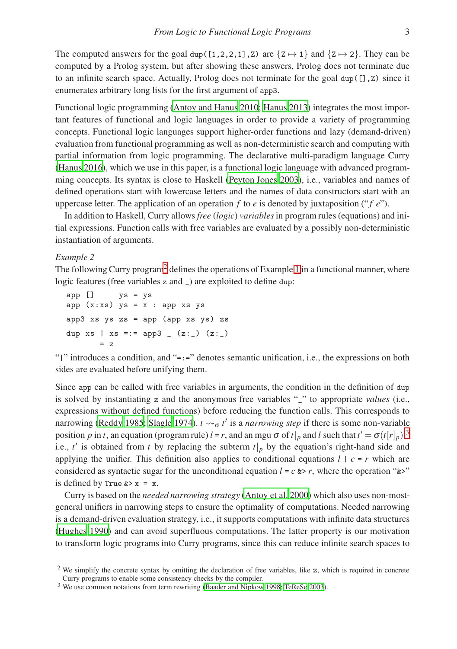The computed answers for the goal dup( $[1,2,2,1]$ ,Z) are  $\{Z \mapsto 1\}$  and  $\{Z \mapsto 2\}$ . They can be computed by a Prolog system, but after showing these answers, Prolog does not terminate due to an infinite search space. Actually, Prolog does not terminate for the goal dup( $[1, z)$ ) since it enumerates arbitrary long lists for the first argument of app3.

Functional logic programming [\(Antoy and Hanus 2010;](#page-14-3) [Hanus 2013](#page-15-4)) integrates the most important features of functional and logic languages in order to provide a variety of programming concepts. Functional logic languages support higher-order functions and lazy (demand-driven) evaluation from functional programming as well as non-deterministic search and computing with partial information from logic programming. The declarative multi-paradigm language Curry [\(Hanus 2016\)](#page-15-3), which we use in this paper, is a functional logic language with advanced programming concepts. Its syntax is close to Haskell [\(Peyton Jones 2003](#page-15-5)), i.e., variables and names of defined operations start with lowercase letters and the names of data constructors start with an uppercase letter. The application of an operation  $f$  to  $e$  is denoted by juxtaposition (" $f e$ ").

In addition to Haskell, Curry allows *free* (*logic*) *variables*in program rules (equations) and initial expressions. Function calls with free variables are evaluated by a possibly non-deterministic instantiation of arguments.

# <span id="page-2-2"></span>*Example 2*

The following Curry program<sup>[2](#page-2-0)</sup> defines the operations of Example [1](#page-1-1) in a functional manner, where logic features (free variables z and  $\overline{\phantom{a}}$ ) are exploited to define dup:

app [] ys = ys app  $(x:xs)$   $ys = x : app xs ys$ app3  $xs$  ys  $zs$  = app (app  $xs$  ys)  $zs$ dup  $xs$  |  $xs == app3 (z:-)(z:-)$ = z

"|" introduces a condition, and "=:=" denotes semantic unification, i.e., the expressions on both sides are evaluated before unifying them.

Since app can be called with free variables in arguments, the condition in the definition of dup is solved by instantiating z and the anonymous free variables "\_" to appropriate *values* (i.e., expressions without defined functions) before reducing the function calls. This corresponds to narrowing [\(Reddy 1985;](#page-15-6) [Slagle 1974\)](#page-15-7).  $t \rightarrow \sigma t'$  is a *narrowing step* if there is some non-variable position *p* in *t*, an equation (program rule) *l* = *r*, and an mgu  $\sigma$  of *t*|<sub>*p*</sub> and *l* such that  $t' = \sigma(t[r]_p)$ ,<sup>[3](#page-2-1)</sup> i.e.,  $t'$  is obtained from  $t$  by replacing the subterm  $t|_p$  by the equation's right-hand side and applying the unifier. This definition also applies to conditional equations  $l \mid c = r$  which are considered as syntactic sugar for the unconditional equation  $l = c \> r$ , where the operation " $\>$ " is defined by True  $&>x = x$ .

Curry is based on the *needed narrowing strategy* [\(Antoy et al. 2000\)](#page-14-4) which also uses non-mostgeneral unifiers in narrowing steps to ensure the optimality of computations. Needed narrowing is a demand-driven evaluation strategy, i.e., it supports computations with infinite data structures [\(Hughes 1990\)](#page-15-1) and can avoid superfluous computations. The latter property is our motivation to transform logic programs into Curry programs, since this can reduce infinite search spaces to

<span id="page-2-0"></span><sup>&</sup>lt;sup>2</sup> We simplify the concrete syntax by omitting the declaration of free variables, like z, which is required in concrete Curry programs to enable some consistency checks by the compiler.

<span id="page-2-1"></span><sup>3</sup> We use common notations from term rewriting [\(Baader and Nipkow 1998;](#page-14-6) [TeReSe 2003\)](#page-15-8).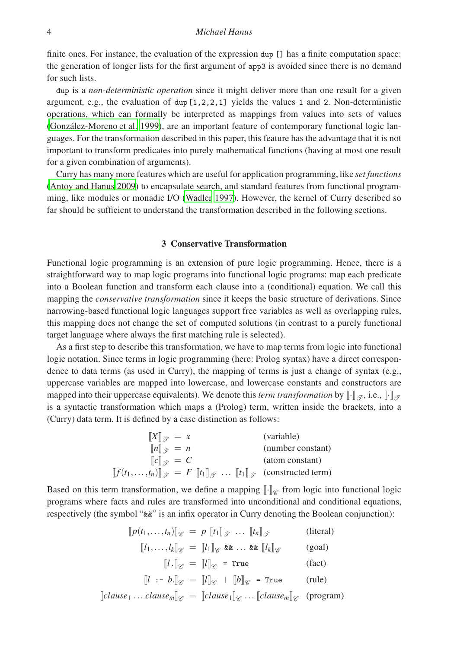## 4 *Michael Hanus*

finite ones. For instance, the evaluation of the expression dup [] has a finite computation space: the generation of longer lists for the first argument of app3 is avoided since there is no demand for such lists.

dup is a *non-deterministic operation* since it might deliver more than one result for a given argument, e.g., the evaluation of dup  $[1,2,2,1]$  yields the values 1 and 2. Non-deterministic operations, which can formally be interpreted as mappings from values into sets of values (González-Moreno et al. 1999), are an important feature of contemporary functional logic languages. For the transformation described in this paper, this feature has the advantage that it is not important to transform predicates into purely mathematical functions (having at most one result for a given combination of arguments).

Curry has many more features which are useful for application programming, like *set functions* [\(Antoy and Hanus 2009](#page-14-8)) to encapsulate search, and standard features from functional programming, like modules or monadic I/O [\(Wadler 1997\)](#page-15-9). However, the kernel of Curry described so far should be sufficient to understand the transformation described in the following sections.

# 3 Conservative Transformation

<span id="page-3-0"></span>Functional logic programming is an extension of pure logic programming. Hence, there is a straightforward way to map logic programs into functional logic programs: map each predicate into a Boolean function and transform each clause into a (conditional) equation. We call this mapping the *conservative transformation* since it keeps the basic structure of derivations. Since narrowing-based functional logic languages support free variables as well as overlapping rules, this mapping does not change the set of computed solutions (in contrast to a purely functional target language where always the first matching rule is selected).

As a first step to describe this transformation, we have to map terms from logic into functional logic notation. Since terms in logic programming (here: Prolog syntax) have a direct correspondence to data terms (as used in Curry), the mapping of terms is just a change of syntax (e.g., uppercase variables are mapped into lowercase, and lowercase constants and constructors are mapped into their uppercase equivalents). We denote this *term transformation* by  $\llbracket \cdot \rrbracket_{\mathcal{T}}$ , i.e.,  $\llbracket \cdot \rrbracket_{\mathcal{G}}$ is a syntactic transformation which maps a (Prolog) term, written inside the brackets, into a (Curry) data term. It is defined by a case distinction as follows:

| $\llbracket X \rrbracket_{\mathcal{T}} = x$                                                        | (variable)        |
|----------------------------------------------------------------------------------------------------|-------------------|
| $\llbracket n \rrbracket_{\mathcal{D}} = n$                                                        | (number constant) |
| $  c  _{\mathcal{D}} = C$                                                                          | (atom constant)   |
| $[[f(t_1,,t_n)]]_{\mathscr{T}} = F[[t_1]]_{\mathscr{T}}  [[t_1]]_{\mathscr{T}}$ (constructed term) |                   |

Based on this term transformation, we define a mapping  $\llbracket \cdot \rrbracket_{\mathscr{C}}$  from logic into functional logic programs where facts and rules are transformed into unconditional and conditional equations, respectively (the symbol "&&" is an infix operator in Curry denoting the Boolean conjunction):

$$
[p(t_1, \ldots, t_n)]_{\mathscr{C}} = p [t_1]_{\mathscr{T}} \ldots [t_n]_{\mathscr{T}}
$$
 (literal)  

$$
[l_1, \ldots, l_k]_{\mathscr{C}} = [l_1]_{\mathscr{C}} \& \ldots \& [l_k]_{\mathscr{C}}
$$
 (goal)  

$$
[l \cdot]_{\mathscr{C}} = [l]_{\mathscr{C}} = \text{True}
$$
 (fact)  

$$
[l \cdot b]_{\mathscr{C}} = [l]_{\mathscr{C}} | [b]_{\mathscr{C}} = \text{True}
$$
 (rule)  

$$
[clause_1 \ldots clause_m]_{\mathscr{C}} = [clause_1]_{\mathscr{C}} \ldots [clause_m]_{\mathscr{C}}
$$
 (program)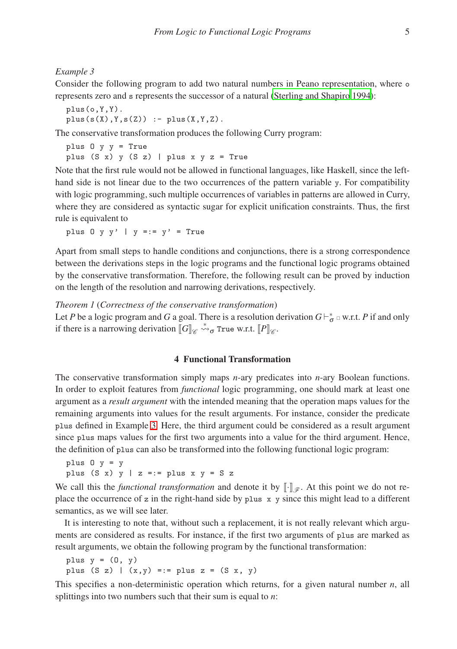<span id="page-4-1"></span>*Example 3*

Consider the following program to add two natural numbers in Peano representation, where o represents zero and s represents the successor of a natural [\(Sterling and Shapiro](#page-15-10) [1994\)](#page-15-10):

```
plus(o,Y,Y).
plus(s(X),Y,s(Z)) := plus(X,Y,Z).
```
The conservative transformation produces the following Curry program:

plus O y y = True plus (S x) y (S z) | plus x  $y$  z = True

Note that the first rule would not be allowed in functional languages, like Haskell, since the lefthand side is not linear due to the two occurrences of the pattern variable y. For compatibility with logic programming, such multiple occurrences of variables in patterns are allowed in Curry, where they are considered as syntactic sugar for explicit unification constraints. Thus, the first rule is equivalent to

plus  $0 \ y \ y'$  |  $y == y' = True$ 

Apart from small steps to handle conditions and conjunctions, there is a strong correspondence between the derivations steps in the logic programs and the functional logic programs obtained by the conservative transformation. Therefore, the following result can be proved by induction on the length of the resolution and narrowing derivations, respectively.

<span id="page-4-2"></span>*Theorem 1* (*Correctness of the conservative transformation*)

Let *P* be a logic program and *G* a goal. There is a resolution derivation  $G \vdash_{\sigma}^* \varphi$  w.r.t. *P* if and only if there is a narrowing derivation  $\llbracket G \rrbracket_{\mathscr{C}} \stackrel{*}{\leadsto} \sigma$  True w.r.t.  $\llbracket P \rrbracket_{\mathscr{C}}$ .

## 4 Functional Transformation

<span id="page-4-0"></span>The conservative transformation simply maps *n*-ary predicates into *n*-ary Boolean functions. In order to exploit features from *functional* logic programming, one should mark at least one argument as a *result argument* with the intended meaning that the operation maps values for the remaining arguments into values for the result arguments. For instance, consider the predicate plus defined in Example [3.](#page-4-1) Here, the third argument could be considered as a result argument since plus maps values for the first two arguments into a value for the third argument. Hence, the definition of plus can also be transformed into the following functional logic program:

```
plus 0 \, y = yplus (S x) y | z =:= plus x y = S z
```
We call this the *functional transformation* and denote it by  $[\cdot]_{\mathscr{F}}$ . At this point we do not replace the occurrence of z in the right-hand side by plus  $x$  y since this might lead to a different semantics, as we will see later.

It is interesting to note that, without such a replacement, it is not really relevant which arguments are considered as results. For instance, if the first two arguments of plus are marked as result arguments, we obtain the following program by the functional transformation:

plus  $y = (0, y)$ plus  $(S z) | (x,y) == plus z = (S x, y)$ 

This specifies a non-deterministic operation which returns, for a given natural number *n*, all splittings into two numbers such that their sum is equal to *n*: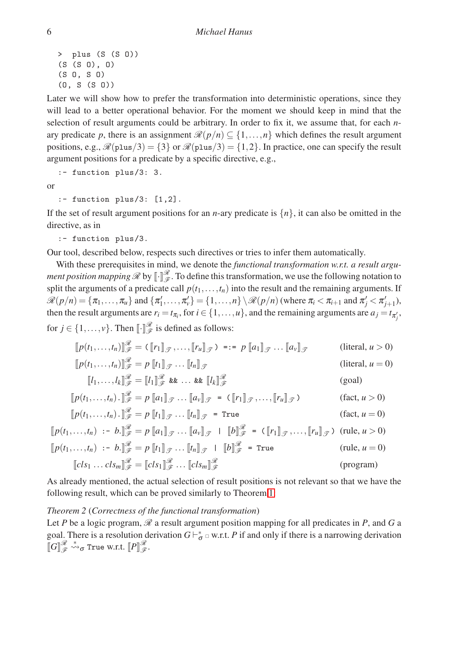```
> plus (S (S O))
(S (S O), O)
(S O, S O)
(O, S (S O))
```
Later we will show how to prefer the transformation into deterministic operations, since they will lead to a better operational behavior. For the moment we should keep in mind that the selection of result arguments could be arbitrary. In order to fix it, we assume that, for each *n*ary predicate *p*, there is an assignment  $\mathcal{R}(p/n) \subseteq \{1, ..., n\}$  which defines the result argument positions, e.g.,  $\mathcal{R}(plus/3) = \{3\}$  or  $\mathcal{R}(plus/3) = \{1,2\}$ . In practice, one can specify the result argument positions for a predicate by a specific directive, e.g.,

:- function plus/3: 3.

or

```
:- function plus/3: [1,2].
```
If the set of result argument positions for an *n*-ary predicate is  $\{n\}$ , it can also be omitted in the directive, as in

```
:- function plus/3.
```
Our tool, described below, respects such directives or tries to infer them automatically.

With these prerequisites in mind, we denote the *functional transformation w.r.t. a result argument position mapping*  $\mathcal{R}$  by  $\llbracket \cdot \rrbracket_{\mathcal{F}}^{\mathcal{R}}$ . To define this transformation, we use the following notation to split the arguments of a predicate call  $p(t_1,...,t_n)$  into the result and the remaining arguments. If  $\mathscr{R}(p/n) = {\pi_1, \ldots, \pi_u}$  and  ${\pi'_1, \ldots, \pi'_v} = {1, \ldots, n} \setminus \mathscr{R}(p/n)$  (where  $\pi_i < \pi_{i+1}$  and  $\pi'_j < \pi'_{j+1}$ ), then the result arguments are  $r_i = t_{\pi_i}$ , for  $i \in \{1, \ldots, u\}$ , and the remaining arguments are  $a_j = t_{\pi'_j}$ , for  $j \in \{1, ..., v\}$ . Then  $\llbracket \cdot \rrbracket_{\mathscr{F}}^{\mathscr{R}}$  is defined as follows:

$$
[\![p(t_1, \ldots, t_n)]\!]_{\mathscr{F}}^{\mathscr{R}} = (\![r_1]\!]_{\mathscr{F}}, \ldots, [\![r_u]\!]_{\mathscr{F}}) = := p [\![a_1]\!]_{\mathscr{F}} \ldots [[\![a_v]\!]_{\mathscr{F}}
$$
 (literal,  $u > 0$ )  

$$
[\![p(t_1, \ldots, t_n)]\!]_{\mathscr{F}}^{\mathscr{R}} = p [\![t_1]\!]_{\mathscr{F}}, \ldots [[\![t_n]\!]_{\mathscr{F}}
$$
 (literal,  $u = 0$ )

$$
[\![p(t_1, \ldots, t_n)]\!]_{\mathscr{F}}^{\mathscr{R}} = p [\![t_1]\!]_{\mathscr{F}} \cdots [t_n]\!]_{\mathscr{F}}
$$
 (literal,  $u = 0$ )  

$$
[\![l_1, \ldots, l_k]\!]_{\mathscr{F}}^{\mathscr{R}} = [\![l_1]\!]_{\mathscr{F}}^{\mathscr{R}} \& \ldots \& [\![l_k]\!]_{\mathscr{F}}^{\mathscr{R}}
$$
 (goal)

$$
[[p(t_1,\ldots,t_n) \cdot]]_{{\mathscr{F}}}^{{\mathscr{R}}} = p[[a_1]]_{{\mathscr{F}}} \ldots [[a_v]]_{{\mathscr{F}}} = (\llbracket r_1 \rrbracket_{{\mathscr{F}}},\ldots,\llbracket r_u \rrbracket_{{\mathscr{F}}}) \qquad (\text{fact}, u > 0)
$$

$$
[[p(t_1,\ldots,t_n) \cdot]]_{{\mathscr{F}}}^{{\mathscr{R}}} = p[[t_1]]_{{\mathscr{F}}} \ldots [[t_n]]_{{\mathscr{F}}} = \text{True} \qquad (\text{fact}, u = 0)
$$

$$
[\![p(t_1, \ldots, t_n) \cdot ]\!]_{\mathscr{F}}^{\mathscr{R}} = p [\![t_1]\!]_{\mathscr{T}} \ldots [t_n]\!]_{\mathscr{T}} = \text{True} \qquad (\text{fact}, u = 0)
$$
  

$$
[\![p(t_1, \ldots, t_n) \; \vdots \; b \cdot ]\!]_{\mathscr{F}}^{\mathscr{R}} = p [\![a_1]\!]_{\mathscr{T}} \ldots [a_v]\!]_{\mathscr{T}} | [\![b]\!]_{\mathscr{T}}^{\mathscr{R}} = (\![r_1]\!]_{\mathscr{T}}, \ldots, [r_u]\!]_{\mathscr{T}}) \text{ (rule, } u > 0)
$$
  

$$
[\![p(t_1, \ldots, t_n) \; \vdots \; b \cdot ]\!]_{\mathscr{F}}^{\mathscr{R}} = p [\![t_1]\!]_{\mathscr{T}} \ldots [t_n]\!]_{\mathscr{T}} | [\![b]\!]_{\mathscr{F}}^{\mathscr{R}} = \text{True} \qquad (\text{rule, } u = 0)
$$
  

$$
[\![cls_1 \ldots cls_m]\!]_{\mathscr{F}}^{\mathscr{R}} = [\![cls_1]\!]_{\mathscr{T}}^{\mathscr{R}} \ldots [\![cls_m]\!]_{\mathscr{F}}^{\mathscr{R}} \qquad (\text{program})
$$

<span id="page-5-0"></span>As already mentioned, the actual selection of result positions is not relevant so that we have the following result, which can be proved similarly to Theorem [1:](#page-4-2)

#### *Theorem 2* (*Correctness of the functional transformation*)

Let *P* be a logic program,  $\mathscr R$  a result argument position mapping for all predicates in *P*, and *G* a goal. There is a resolution derivation  $G \models_{\sigma}^* \Box$  w.r.t. *P* if and only if there is a narrowing derivation  $\llbracket G \rrbracket_{\mathscr{F}}^{\mathscr{R}} \leadsto_{\sigma}$  True w.r.t.  $\llbracket P \rrbracket_{\mathscr{F}}^{\mathscr{R}}.$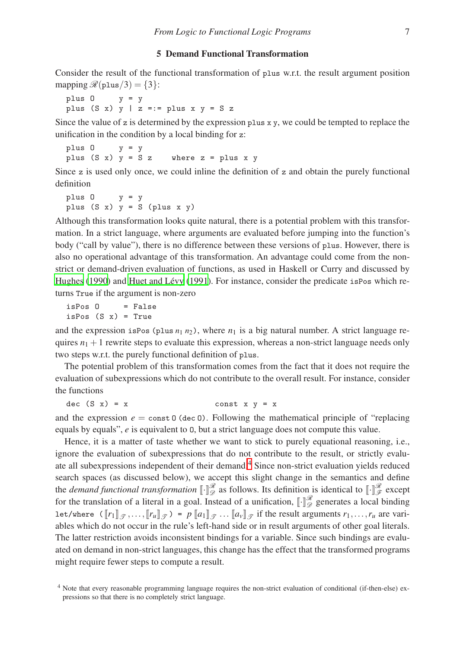## 5 Demand Functional Transformation

<span id="page-6-0"></span>Consider the result of the functional transformation of plus w.r.t. the result argument position mapping  $\mathcal{R}(\text{plus}/3) = \{3\}$ :

plus  $0$   $y = y$ plus (S x)  $y$  | z = := plus x  $y$  = S z

Since the value of z is determined by the expression plus  $x y$ , we could be tempted to replace the unification in the condition by a local binding for z:

plus  $0$   $y = y$ plus  $(S \times)$   $y = S \times w$  where  $z = p$  lus  $x \times y$ 

Since  $z$  is used only once, we could inline the definition of  $z$  and obtain the purely functional definition

plus O y = y plus  $(S \times)$  y = S (plus x y)

Although this transformation looks quite natural, there is a potential problem with this transformation. In a strict language, where arguments are evaluated before jumping into the function's body ("call by value"), there is no difference between these versions of plus. However, there is also no operational advantage of this transformation. An advantage could come from the nonstrict or demand-driven evaluation of functions, as used in Haskell or Curry and discussed by [Hughes \(1990](#page-15-1)) and Huet and Lévy (1991). For instance, consider the predicate is Pos which returns True if the argument is non-zero

 $isPos 0 = False$ isPos  $(S \times) = True$ 

and the expression isPos (plus  $n_1 n_2$ ), where  $n_1$  is a big natural number. A strict language requires  $n_1 + 1$  rewrite steps to evaluate this expression, whereas a non-strict language needs only two steps w.r.t. the purely functional definition of plus.

The potential problem of this transformation comes from the fact that it does not require the evaluation of subexpressions which do not contribute to the overall result. For instance, consider the functions

dec  $(S \t x) = x$  const  $x y = x$ 

and the expression  $e = \text{const } 0$  (dec 0). Following the mathematical principle of "replacing equals by equals", *e* is equivalent to O, but a strict language does not compute this value.

Hence, it is a matter of taste whether we want to stick to purely equational reasoning, i.e., ignore the evaluation of subexpressions that do not contribute to the result, or strictly evaluate all subexpressions independent of their demand.[4](#page-6-1) Since non-strict evaluation yields reduced search spaces (as discussed below), we accept this slight change in the semantics and define the *demand functional transformation*  $\llbracket \cdot \rrbracket_{\mathscr{D}}^{\mathscr{R}}$  as follows. Its definition is identical to  $\llbracket \cdot \rrbracket_{\mathscr{F}}^{\mathscr{R}}$  except for the translation of a literal in a goal. Instead of a unification,  $\llbracket \cdot \rrbracket_{\mathscr{D}}^{\mathscr{R}}$  generates a local binding let/where  $([r_1]_{\mathscr{T}},..., [r_u]_{\mathscr{T}}) = p[[a_1]_{\mathscr{T}}...[[a_v]_{\mathscr{T}}]$  if the result arguments  $r_1,...,r_u$  are variables which do not occur in the rule's left-hand side or in result arguments of other goal literals. The latter restriction avoids inconsistent bindings for a variable. Since such bindings are evaluated on demand in non-strict languages, this change has the effect that the transformed programs might require fewer steps to compute a result.

<span id="page-6-1"></span><sup>4</sup> Note that every reasonable programming language requires the non-strict evaluation of conditional (if-then-else) expressions so that there is no completely strict language.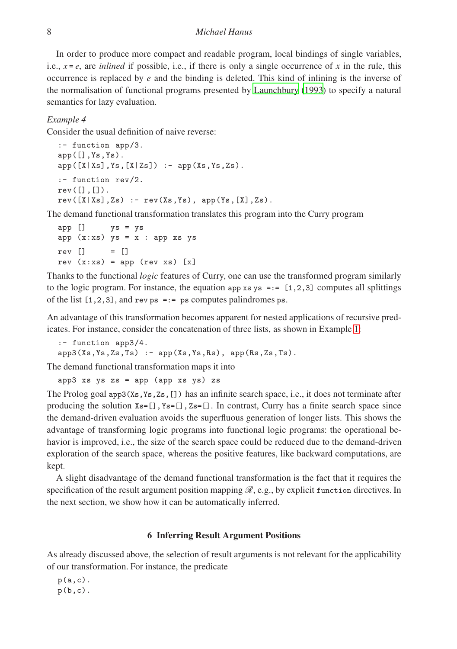In order to produce more compact and readable program, local bindings of single variables, i.e.,  $x = e$ , are *inlined* if possible, i.e., if there is only a single occurrence of x in the rule, this occurrence is replaced by *e* and the binding is deleted. This kind of inlining is the inverse of the normalisation of functional programs presented by [Launchbury](#page-15-12) [\(1993\)](#page-15-12) to specify a natural semantics for lazy evaluation.

#### <span id="page-7-1"></span>*Example 4*

Consider the usual definition of naive reverse:

```
:- function app/3.
app([], Ys, Ys).
app([X|Xs],Ys,[X|Zs]) :- app(Xs,Ys,Zs).
:- function rev/2.
rev([], []).
rev([X|Xs],Zs) :- rev(Xs,Ys), app(Ys,[X],Zs).
```
The demand functional transformation translates this program into the Curry program

```
app [] ys = ys
app (x:xs) ys = x : app xs ysrev [] = []rev(x:xs) = app(revxs)[x]
```
<span id="page-7-2"></span>Thanks to the functional *logic* features of Curry, one can use the transformed program similarly to the logic program. For instance, the equation app  $xs$   $s = 0.12, 3$  computes all splittings of the list  $[1,2,3]$ , and rev ps =:= ps computes palindromes ps.

An advantage of this transformation becomes apparent for nested applications of recursive predicates. For instance, consider the concatenation of three lists, as shown in Example [1:](#page-1-1)

```
:- function app3/4.
app3(Xs,Ys,Zs,Ts) :- app(Xs,Ys,Rs), app(Rs,Zs,Ts).
```
The demand functional transformation maps it into

```
app3 xs ys zs = app (app xs ys) zs
```
The Prolog goal app3(Xs,Ys,Zs,[]) has an infinite search space, i.e., it does not terminate after producing the solution  $X_s = []$ ,  $Y_s = []$ ,  $Z_s = []$ . In contrast, Curry has a finite search space since the demand-driven evaluation avoids the superfluous generation of longer lists. This shows the advantage of transforming logic programs into functional logic programs: the operational behavior is improved, i.e., the size of the search space could be reduced due to the demand-driven exploration of the search space, whereas the positive features, like backward computations, are kept.

A slight disadvantage of the demand functional transformation is the fact that it requires the specification of the result argument position mapping  $\mathcal{R}$ , e.g., by explicit function directives. In the next section, we show how it can be automatically inferred.

## 6 Inferring Result Argument Positions

<span id="page-7-0"></span>As already discussed above, the selection of result arguments is not relevant for the applicability of our transformation. For instance, the predicate

 $p(a,c)$ .  $p(b, c)$ .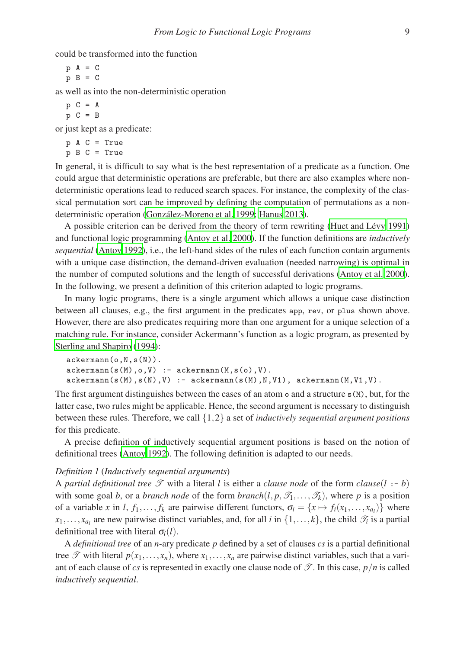could be transformed into the function

$$
\begin{array}{rcl} p & A & = & C \\ p & B & = & C \end{array}
$$

as well as into the non-deterministic operation

$$
\begin{array}{rcl}\n p & C & = & A \\
 p & C & = & B\n \end{array}
$$

or just kept as a predicate:

```
p A C = True
p B C = True
```
In general, it is difficult to say what is the best representation of a predicate as a function. One could argue that deterministic operations are preferable, but there are also examples where nondeterministic operations lead to reduced search spaces. For instance, the complexity of the classical permutation sort can be improved by defining the computation of permutations as a non-deterministic operation (González-Moreno et al. 1999; [Hanus 2013\)](#page-15-4).

A possible criterion can be derived from the theory of term rewriting (Huet and Lévy 1991) and functional logic programming [\(Antoy et al. 2000](#page-14-4)). If the function definitions are *inductively sequential* [\(Antoy 1992\)](#page-14-9), i.e., the left-hand sides of the rules of each function contain arguments with a unique case distinction, the demand-driven evaluation (needed narrowing) is optimal in the number of computed solutions and the length of successful derivations [\(Antoy et al. 2000\)](#page-14-4). In the following, we present a definition of this criterion adapted to logic programs.

In many logic programs, there is a single argument which allows a unique case distinction between all clauses, e.g., the first argument in the predicates app, rev, or plus shown above. However, there are also predicates requiring more than one argument for a unique selection of a matching rule. For instance, consider Ackermann's function as a logic program, as presented by [Sterling and Shapiro \(1994\)](#page-15-10):

```
ackermann(o,N,s(N)).
ackerman(s(M),o,V) :- akerman(M,s(o),V).ackerman(s(M),s(N),V) :- ackerman(s(M),N,V1), ackerman(M,V1,V).
```
The first argument distinguishes between the cases of an atom  $\circ$  and a structure  $s(M)$ , but, for the latter case, two rules might be applicable. Hence, the second argument is necessary to distinguish between these rules. Therefore, we call {1,2} a set of *inductively sequential argument positions* for this predicate.

A precise definition of inductively sequential argument positions is based on the notion of definitional trees [\(Antoy 1992\)](#page-14-9). The following definition is adapted to our needs.

#### *Definition 1* (*Inductively sequential arguments*)

A *partial definitional tree*  $\mathcal{T}$  with a literal *l* is either a *clause node* of the form *clause*( $l : -b$ ) with some goal *b*, or a *branch node* of the form *branch*(*l*,  $p$ ,  $\mathcal{T}_1$ ,...,  $\mathcal{T}_k$ ), where *p* is a position of a variable *x* in *l*,  $f_1, \ldots, f_k$  are pairwise different functors,  $\sigma_i = \{x \mapsto f_i(x_1, \ldots, x_{a_i})\}$  where  $x_1, \ldots, x_{a_i}$  are new pairwise distinct variables, and, for all *i* in  $\{1, \ldots, k\}$ , the child  $\mathcal{T}_i$  is a partial definitional tree with literal  $\sigma_i(l)$ .

A *definitional tree* of an *n*-ary predicate *p* defined by a set of clauses *cs* is a partial definitional tree  $\mathscr T$  with literal  $p(x_1,...,x_n)$ , where  $x_1,...,x_n$  are pairwise distinct variables, such that a variant of each clause of *cs* is represented in exactly one clause node of  $\mathscr{T}$ . In this case,  $p/n$  is called *inductively sequential*.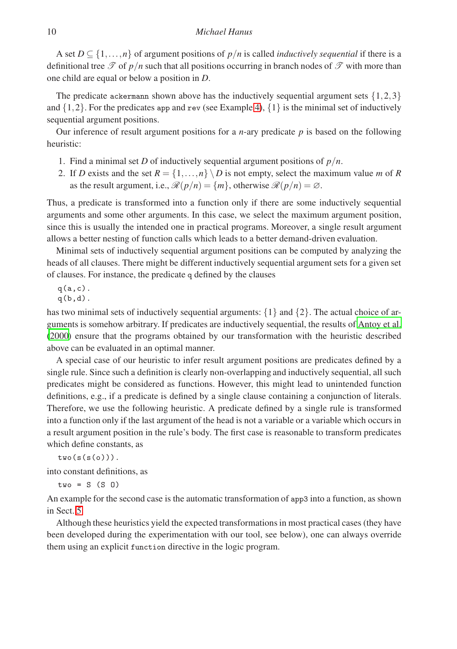A set  $D \subseteq \{1, \ldots, n\}$  of argument positions of  $p/n$  is called *inductively sequential* if there is a definitional tree  $\mathscr T$  of  $p/n$  such that all positions occurring in branch nodes of  $\mathscr T$  with more than one child are equal or below a position in *D*.

The predicate ackermann shown above has the inductively sequential argument sets  $\{1,2,3\}$ and  $\{1,2\}$ . For the predicates app and rev (see Example [4\)](#page-7-1),  $\{1\}$  is the minimal set of inductively sequential argument positions.

Our inference of result argument positions for a *n*-ary predicate *p* is based on the following heuristic:

- 1. Find a minimal set *D* of inductively sequential argument positions of  $p/n$ .
- 2. If *D* exists and the set  $R = \{1, \ldots, n\} \setminus D$  is not empty, select the maximum value *m* of *R* as the result argument, i.e.,  $\mathcal{R}(p/n) = \{m\}$ , otherwise  $\mathcal{R}(p/n) = \emptyset$ .

Thus, a predicate is transformed into a function only if there are some inductively sequential arguments and some other arguments. In this case, we select the maximum argument position, since this is usually the intended one in practical programs. Moreover, a single result argument allows a better nesting of function calls which leads to a better demand-driven evaluation.

Minimal sets of inductively sequential argument positions can be computed by analyzing the heads of all clauses. There might be different inductively sequential argument sets for a given set of clauses. For instance, the predicate q defined by the clauses

 $q(a,c)$ .  $q(b,d)$ .

has two minimal sets of inductively sequential arguments:  $\{1\}$  and  $\{2\}$ . The actual choice of arguments is somehow arbitrary. If predicates are inductively sequential, the results of [Antoy et al.](#page-14-4) [\(2000\)](#page-14-4) ensure that the programs obtained by our transformation with the heuristic described above can be evaluated in an optimal manner.

A special case of our heuristic to infer result argument positions are predicates defined by a single rule. Since such a definition is clearly non-overlapping and inductively sequential, all such predicates might be considered as functions. However, this might lead to unintended function definitions, e.g., if a predicate is defined by a single clause containing a conjunction of literals. Therefore, we use the following heuristic. A predicate defined by a single rule is transformed into a function only if the last argument of the head is not a variable or a variable which occurs in a result argument position in the rule's body. The first case is reasonable to transform predicates which define constants, as

 $two(s(s(o)))$ .

into constant definitions, as

 $two = S(S<sub>0</sub>)$ 

An example for the second case is the automatic transformation of app3 into a function, as shown in Sect. [5.](#page-7-2)

Although these heuristics yield the expected transformations in most practical cases (they have been developed during the experimentation with our tool, see below), one can always override them using an explicit function directive in the logic program.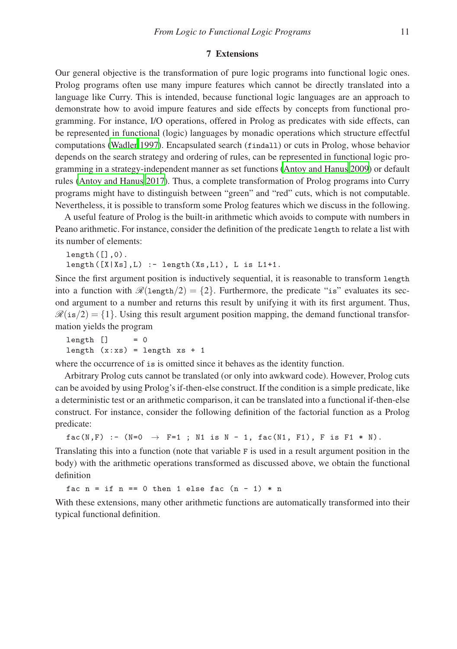#### 7 Extensions

<span id="page-10-0"></span>Our general objective is the transformation of pure logic programs into functional logic ones. Prolog programs often use many impure features which cannot be directly translated into a language like Curry. This is intended, because functional logic languages are an approach to demonstrate how to avoid impure features and side effects by concepts from functional programming. For instance, I/O operations, offered in Prolog as predicates with side effects, can be represented in functional (logic) languages by monadic operations which structure effectful computations [\(Wadler 1997\)](#page-15-9). Encapsulated search (findall) or cuts in Prolog, whose behavior depends on the search strategy and ordering of rules, can be represented in functional logic programming in a strategy-independent manner as set functions [\(Antoy and Hanus 2009](#page-14-8)) or default rules [\(Antoy and Hanus 2017\)](#page-14-10). Thus, a complete transformation of Prolog programs into Curry programs might have to distinguish between "green" and "red" cuts, which is not computable. Nevertheless, it is possible to transform some Prolog features which we discuss in the following.

A useful feature of Prolog is the built-in arithmetic which avoids to compute with numbers in Peano arithmetic. For instance, consider the definition of the predicate length to relate a list with its number of elements:

```
length([],0).
length([X|Xs],L) :- length(Xs,L1), L is L1+1.
```
Since the first argument position is inductively sequential, it is reasonable to transform length into a function with  $\mathcal{R}(\text{length}/2) = \{2\}$ . Furthermore, the predicate "is" evaluates its second argument to a number and returns this result by unifying it with its first argument. Thus,  $\mathcal{R}(is/2) = \{1\}$ . Using this result argument position mapping, the demand functional transformation yields the program

 $length$   $]$  = 0 length  $(x:xs) = length xs + 1$ 

where the occurrence of is is omitted since it behaves as the identity function.

Arbitrary Prolog cuts cannot be translated (or only into awkward code). However, Prolog cuts can be avoided by using Prolog's if-then-else construct. If the condition is a simple predicate, like a deterministic test or an arithmetic comparison, it can be translated into a functional if-then-else construct. For instance, consider the following definition of the factorial function as a Prolog predicate:

 $fac(N, F) :- (N=0 \rightarrow F=1 ; N1 is N - 1, fac(N1, F1), F is F1 * N).$ 

Translating this into a function (note that variable F is used in a result argument position in the body) with the arithmetic operations transformed as discussed above, we obtain the functional definition

fac  $n = if n == 0 then 1 else fac (n - 1) * n$ 

With these extensions, many other arithmetic functions are automatically transformed into their typical functional definition.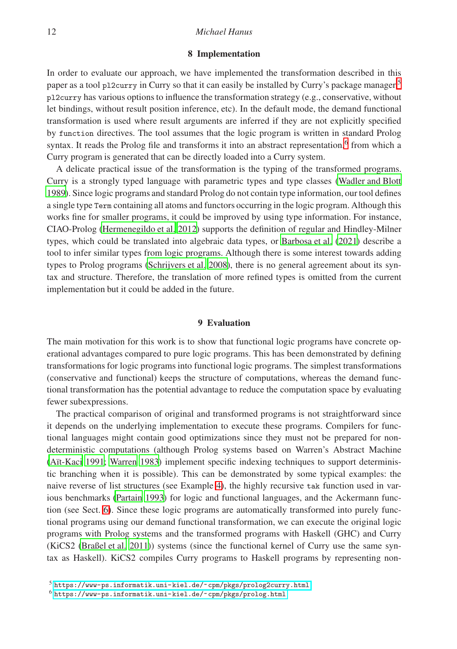# <span id="page-11-0"></span>12 *Michael Hanus*

#### 8 Implementation

In order to evaluate our approach, we have implemented the transformation described in this paper as a tool p12curry in Curry so that it can easily be installed by Curry's package manager.<sup>[5](#page-11-2)</sup> pl2curry has various options to influence the transformation strategy (e.g., conservative, without let bindings, without result position inference, etc). In the default mode, the demand functional transformation is used where result arguments are inferred if they are not explicitly specified by function directives. The tool assumes that the logic program is written in standard Prolog syntax. It reads the Prolog file and transforms it into an abstract representation,<sup>[6](#page-11-3)</sup> from which a Curry program is generated that can be directly loaded into a Curry system.

A delicate practical issue of the transformation is the typing of the transformed programs. Curry is a strongly typed language with parametric types and type classes [\(Wadler and Blott](#page-15-13) [1989\)](#page-15-13). Since logic programs and standard Prolog do not contain type information, our tool defines a single type Term containing all atoms and functors occurring in the logic program. Although this works fine for smaller programs, it could be improved by using type information. For instance, CIAO-Prolog [\(Hermenegildo et al. 2012](#page-15-14)) supports the definition of regular and Hindley-Milner types, which could be translated into algebraic data types, or [Barbosa et al. \(2021\)](#page-14-11) describe a tool to infer similar types from logic programs. Although there is some interest towards adding types to Prolog programs [\(Schrijvers et al. 2008](#page-15-15)), there is no general agreement about its syntax and structure. Therefore, the translation of more refined types is omitted from the current implementation but it could be added in the future.

## 9 Evaluation

<span id="page-11-1"></span>The main motivation for this work is to show that functional logic programs have concrete operational advantages compared to pure logic programs. This has been demonstrated by defining transformations for logic programs into functional logic programs. The simplest transformations (conservative and functional) keeps the structure of computations, whereas the demand functional transformation has the potential advantage to reduce the computation space by evaluating fewer subexpressions.

The practical comparison of original and transformed programs is not straightforward since it depends on the underlying implementation to execute these programs. Compilers for functional languages might contain good optimizations since they must not be prepared for nondeterministic computations (although Prolog systems based on Warren's Abstract Machine (Aït-Kaci 1991; [Warren 1983](#page-15-16)) implement specific indexing techniques to support deterministic branching when it is possible). This can be demonstrated by some typical examples: the naive reverse of list structures (see Example [4\)](#page-7-1), the highly recursive tak function used in various benchmarks [\(Partain 1993\)](#page-15-17) for logic and functional languages, and the Ackermann function (see Sect. [6\)](#page-8-0). Since these logic programs are automatically transformed into purely functional programs using our demand functional transformation, we can execute the original logic programs with Prolog systems and the transformed programs with Haskell (GHC) and Curry (KiCS2 [\(Braßel et al. 2011\)](#page-14-13)) systems (since the functional kernel of Curry use the same syntax as Haskell). KiCS2 compiles Curry programs to Haskell programs by representing non-

<sup>5</sup> <https://www-ps.informatik.uni-kiel.de/~cpm/pkgs/prolog2curry.html>

<span id="page-11-3"></span><span id="page-11-2"></span> $^6$  <https://www-ps.informatik.uni-kiel.de/~cpm/pkgs/prolog.html>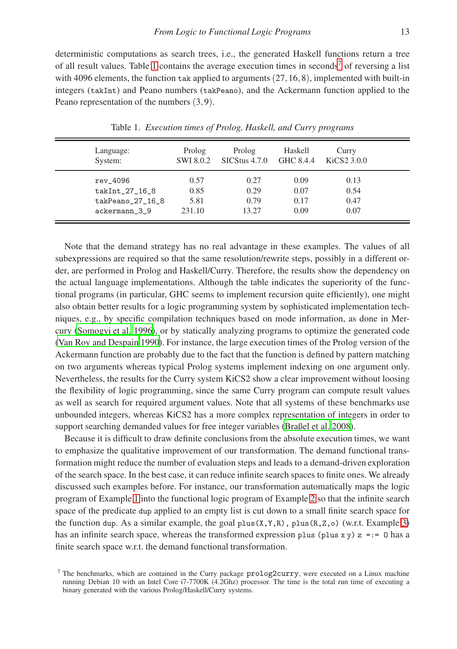deterministic computations as search trees, i.e., the generated Haskell functions return a tree of all result values. Table [1](#page-12-0) contains the average execution times in seconds<sup>[7](#page-12-1)</sup> of reversing a list with 4096 elements, the function tak applied to arguments  $(27,16,8)$ , implemented with built-in integers (takInt) and Peano numbers (takPeano), and the Ackermann function applied to the Peano representation of the numbers (3,9).

| Language:        | Prolog           | Prolog        | Haskell   | Curry       |  |
|------------------|------------------|---------------|-----------|-------------|--|
| System:          | <b>SWI 8.0.2</b> | SICStus 4.7.0 | GHC 8.4.4 | KiCS2 3.0.0 |  |
| rev_4096         | 0.57             | 0.27          | 0.09      | 0.13        |  |
| takInt_27_16_8   | 0.85             | 0.29          | 0.07      | 0.54        |  |
| takPeano_27_16_8 | 5.81             | 0.79          | 0.17      | 0.47        |  |
| ackermann 39     | 231.10           | 13.27         | 0.09      | 0.07        |  |

<span id="page-12-0"></span>Table 1. *Execution times of Prolog, Haskell, and Curry programs*

Note that the demand strategy has no real advantage in these examples. The values of all subexpressions are required so that the same resolution/rewrite steps, possibly in a different order, are performed in Prolog and Haskell/Curry. Therefore, the results show the dependency on the actual language implementations. Although the table indicates the superiority of the functional programs (in particular, GHC seems to implement recursion quite efficiently), one might also obtain better results for a logic programming system by sophisticated implementation techniques, e.g., by specific compilation techniques based on mode information, as done in Mercury [\(Somogyi et al. 1996\)](#page-15-18), or by statically analyzing programs to optimize the generated code [\(Van Roy and Despain 1990\)](#page-15-19). For instance, the large execution times of the Prolog version of the Ackermann function are probably due to the fact that the function is defined by pattern matching on two arguments whereas typical Prolog systems implement indexing on one argument only. Nevertheless, the results for the Curry system KiCS2 show a clear improvement without loosing the flexibility of logic programming, since the same Curry program can compute result values as well as search for required argument values. Note that all systems of these benchmarks use unbounded integers, whereas KiCS2 has a more complex representation of integers in order to support searching demanded values for free integer variables [\(Braßel et al. 2008](#page-14-14)).

Because it is difficult to draw definite conclusions from the absolute execution times, we want to emphasize the qualitative improvement of our transformation. The demand functional transformation might reduce the number of evaluation steps and leads to a demand-driven exploration of the search space. In the best case, it can reduce infinite search spaces to finite ones. We already discussed such examples before. For instance, our transformation automatically maps the logic program of Example [1](#page-1-1) into the functional logic program of Example [2](#page-2-2) so that the infinite search space of the predicate dup applied to an empty list is cut down to a small finite search space for the function dup. As a similar example, the goal plus $(X, Y, R)$ , plus $(R, Z, o)$  (w.r.t. Example [3\)](#page-4-1) has an infinite search space, whereas the transformed expression plus (plus x y)  $z == 0$  has a finite search space w.r.t. the demand functional transformation.

<span id="page-12-1"></span><sup>7</sup> The benchmarks, which are contained in the Curry package prolog2curry, were executed on a Linux machine running Debian 10 with an Intel Core i7-7700K (4.2Ghz) processor. The time is the total run time of executing a binary generated with the various Prolog/Haskell/Curry systems.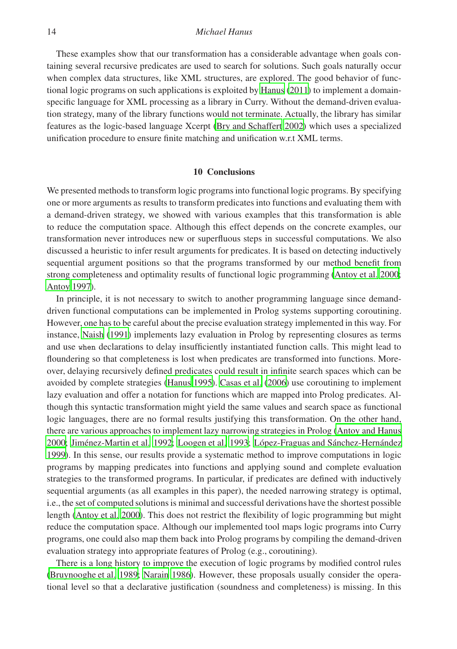These examples show that our transformation has a considerable advantage when goals containing several recursive predicates are used to search for solutions. Such goals naturally occur when complex data structures, like XML structures, are explored. The good behavior of functional logic programs on such applications is exploited by [Hanus](#page-14-15) [\(2011\)](#page-14-15) to implement a domainspecific language for XML processing as a library in Curry. Without the demand-driven evaluation strategy, many of the library functions would not terminate. Actually, the library has similar features as the logic-based language Xcerpt [\(Bry and Schaffert 2002](#page-14-16)) which uses a specialized unification procedure to ensure finite matching and unification w.r.t XML terms.

## 10 Conclusions

We presented methods to transform logic programs into functional logic programs. By specifying one or more arguments as results to transform predicates into functions and evaluating them with a demand-driven strategy, we showed with various examples that this transformation is able to reduce the computation space. Although this effect depends on the concrete examples, our transformation never introduces new or superfluous steps in successful computations. We also discussed a heuristic to infer result arguments for predicates. It is based on detecting inductively sequential argument positions so that the programs transformed by our method benefit from strong completeness and optimality results of functional logic programming [\(Antoy et al. 2000;](#page-14-4) [Antoy 1997\)](#page-14-5).

In principle, it is not necessary to switch to another programming language since demanddriven functional computations can be implemented in Prolog systems supporting coroutining. However, one has to be careful about the precise evaluation strategy implemented in this way. For instance, [Naish \(1991\)](#page-15-0) implements lazy evaluation in Prolog by representing closures as terms and use when declarations to delay insufficiently instantiated function calls. This might lead to floundering so that completeness is lost when predicates are transformed into functions. Moreover, delaying recursively defined predicates could result in infinite search spaces which can be avoided by complete strategies [\(Hanus 1995\)](#page-14-2). [Casas et al.](#page-14-1) [\(2006\)](#page-14-1) use coroutining to implement lazy evaluation and offer a notation for functions which are mapped into Prolog predicates. Although this syntactic transformation might yield the same values and search space as functional logic languages, there are no formal results justifying this transformation. On the other hand, there are various approaches to implement lazy narrowing strategies in Prolog [\(Antoy and Hanus](#page-14-17) [2000;](#page-14-17) Jiménez-Martin et al. 1992; [Loogen et al. 1993;](#page-15-21) López-Fraguas and Sánchez-Hernández [1999\)](#page-15-22). In this sense, our results provide a systematic method to improve computations in logic programs by mapping predicates into functions and applying sound and complete evaluation strategies to the transformed programs. In particular, if predicates are defined with inductively sequential arguments (as all examples in this paper), the needed narrowing strategy is optimal, i.e., the set of computed solutions is minimal and successful derivations have the shortest possible length [\(Antoy et al. 2000\)](#page-14-4). This does not restrict the flexibility of logic programming but might reduce the computation space. Although our implemented tool maps logic programs into Curry programs, one could also map them back into Prolog programs by compiling the demand-driven evaluation strategy into appropriate features of Prolog (e.g., coroutining).

There is a long history to improve the execution of logic programs by modified control rules [\(Bruynooghe et al. 1989;](#page-14-18) [Narain 1986\)](#page-15-23). However, these proposals usually consider the operational level so that a declarative justification (soundness and completeness) is missing. In this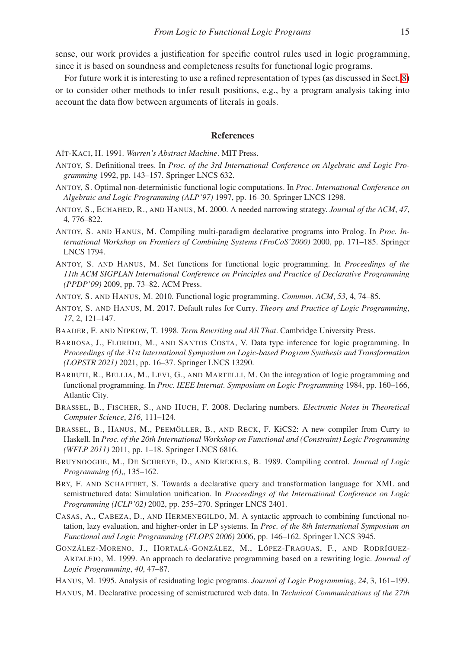sense, our work provides a justification for specific control rules used in logic programming, since it is based on soundness and completeness results for functional logic programs.

For future work it is interesting to use a refined representation of types (as discussed in Sect. [8\)](#page-11-0) or to consider other methods to infer result positions, e.g., by a program analysis taking into account the data flow between arguments of literals in goals.

#### References

<span id="page-14-12"></span>A¨IT-KACI, H. 1991. *Warren's Abstract Machine*. MIT Press.

- <span id="page-14-9"></span>ANTOY, S. Definitional trees. In *Proc. of the 3rd International Conference on Algebraic and Logic Programming* 1992, pp. 143–157. Springer LNCS 632.
- <span id="page-14-5"></span>ANTOY, S. Optimal non-deterministic functional logic computations. In *Proc. International Conference on Algebraic and Logic Programming (ALP'97)* 1997, pp. 16–30. Springer LNCS 1298.
- <span id="page-14-4"></span>ANTOY, S., ECHAHED, R., AND HANUS, M. 2000. A needed narrowing strategy. *Journal of the ACM*, *47*, 4, 776–822.
- <span id="page-14-17"></span>ANTOY, S. AND HANUS, M. Compiling multi-paradigm declarative programs into Prolog. In *Proc. International Workshop on Frontiers of Combining Systems (FroCoS'2000)* 2000, pp. 171–185. Springer LNCS 1794.
- <span id="page-14-8"></span>ANTOY, S. AND HANUS, M. Set functions for functional logic programming. In *Proceedings of the 11th ACM SIGPLAN International Conference on Principles and Practice of Declarative Programming (PPDP'09)* 2009, pp. 73–82. ACM Press.
- <span id="page-14-3"></span>ANTOY, S. AND HANUS, M. 2010. Functional logic programming. *Commun. ACM*, *53*, 4, 74–85.
- <span id="page-14-10"></span>ANTOY, S. AND HANUS, M. 2017. Default rules for Curry. *Theory and Practice of Logic Programming*, *17*, 2, 121–147.
- <span id="page-14-6"></span>BAADER, F. AND NIPKOW, T. 1998. *Term Rewriting and All That*. Cambridge University Press.
- <span id="page-14-11"></span>BARBOSA, J., FLORIDO, M., AND SANTOS COSTA, V. Data type inference for logic programming. In *Proceedings of the 31st International Symposium on Logic-based Program Synthesis and Transformation (LOPSTR 2021)* 2021, pp. 16–37. Springer LNCS 13290.
- <span id="page-14-0"></span>BARBUTI, R., BELLIA, M., LEVI, G., AND MARTELLI, M. On the integration of logic programming and functional programming. In *Proc. IEEE Internat. Symposium on Logic Programming* 1984, pp. 160–166, Atlantic City.
- <span id="page-14-14"></span>BRASSEL, B., FISCHER, S., AND HUCH, F. 2008. Declaring numbers. *Electronic Notes in Theoretical Computer Science*, *216*, 111–124.
- <span id="page-14-13"></span>BRASSEL, B., HANUS, M., PEEMÖLLER, B., AND RECK, F. KiCS2: A new compiler from Curry to Haskell. In *Proc. of the 20th International Workshop on Functional and (Constraint) Logic Programming (WFLP 2011)* 2011, pp. 1–18. Springer LNCS 6816.
- <span id="page-14-18"></span>BRUYNOOGHE, M., DE SCHREYE, D., AND KREKELS, B. 1989. Compiling control. *Journal of Logic Programming (6)*,, 135–162.
- <span id="page-14-16"></span>BRY, F. AND SCHAFFERT, S. Towards a declarative query and transformation language for XML and semistructured data: Simulation unification. In *Proceedings of the International Conference on Logic Programming (ICLP'02)* 2002, pp. 255–270. Springer LNCS 2401.
- <span id="page-14-1"></span>CASAS, A., CABEZA, D., AND HERMENEGILDO, M. A syntactic approach to combining functional notation, lazy evaluation, and higher-order in LP systems. In *Proc. of the 8th International Symposium on Functional and Logic Programming (FLOPS 2006)* 2006, pp. 146–162. Springer LNCS 3945.
- <span id="page-14-7"></span>GONZÁLEZ-MORENO, J., HORTALÁ-GONZÁLEZ, M., LÓPEZ-FRAGUAS, F., AND RODRÍGUEZ-ARTALEJO, M. 1999. An approach to declarative programming based on a rewriting logic. *Journal of Logic Programming*, *40*, 47–87.
- <span id="page-14-2"></span>HANUS, M. 1995. Analysis of residuating logic programs. *Journal of Logic Programming*, *24*, 3, 161–199.
- <span id="page-14-15"></span>HANUS, M. Declarative processing of semistructured web data. In *Technical Communications of the 27th*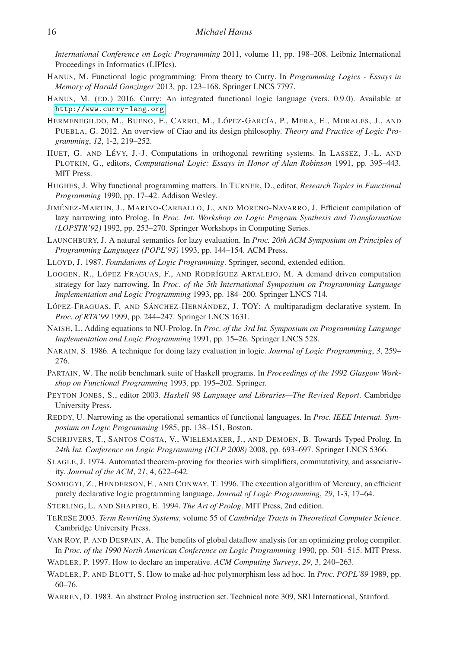*International Conference on Logic Programming* 2011, volume 11, pp. 198–208. Leibniz International Proceedings in Informatics (LIPIcs).

- <span id="page-15-4"></span>HANUS, M. Functional logic programming: From theory to Curry. In *Programming Logics - Essays in Memory of Harald Ganzinger* 2013, pp. 123–168. Springer LNCS 7797.
- <span id="page-15-3"></span>HANUS, M. (ED.) 2016. Curry: An integrated functional logic language (vers. 0.9.0). Available at <http://www.curry-lang.org>.
- <span id="page-15-14"></span>HERMENEGILDO, M., BUENO, F., CARRO, M., LÓPEZ-GARCÍA, P., MERA, E., MORALES, J., AND PUEBLA, G. 2012. An overview of Ciao and its design philosophy. *Theory and Practice of Logic Programming*, *12*, 1-2, 219–252.
- <span id="page-15-11"></span>HUET, G. AND LÉVY, J.-J. Computations in orthogonal rewriting systems. In LASSEZ, J.-L. AND PLOTKIN, G., editors, *Computational Logic: Essays in Honor of Alan Robinson* 1991, pp. 395–443. MIT Press.
- <span id="page-15-1"></span>HUGHES, J. Why functional programming matters. In TURNER, D., editor, *Research Topics in Functional Programming* 1990, pp. 17–42. Addison Wesley.
- <span id="page-15-20"></span>JIMÉNEZ-MARTIN, J., MARINO-CARBALLO, J., AND MORENO-NAVARRO, J. Efficient compilation of lazy narrowing into Prolog. In *Proc. Int. Workshop on Logic Program Synthesis and Transformation (LOPSTR'92)* 1992, pp. 253–270. Springer Workshops in Computing Series.
- <span id="page-15-12"></span>LAUNCHBURY, J. A natural semantics for lazy evaluation. In *Proc. 20th ACM Symposium on Principles of Programming Languages (POPL'93)* 1993, pp. 144–154. ACM Press.
- <span id="page-15-2"></span>LLOYD, J. 1987. *Foundations of Logic Programming*. Springer, second, extended edition.
- <span id="page-15-21"></span>LOOGEN, R., LÓPEZ FRAGUAS, F., AND RODRÍGUEZ ARTALEJO, M. A demand driven computation strategy for lazy narrowing. In *Proc. of the 5th International Symposium on Programming Language Implementation and Logic Programming* 1993, pp. 184–200. Springer LNCS 714.
- <span id="page-15-22"></span>LÓPEZ-FRAGUAS, F. AND SÁNCHEZ-HERNÁNDEZ, J. TOY: A multiparadigm declarative system. In *Proc. of RTA'99* 1999, pp. 244–247. Springer LNCS 1631.
- <span id="page-15-0"></span>NAISH, L. Adding equations to NU-Prolog. In *Proc. of the 3rd Int. Symposium on Programming Language Implementation and Logic Programming* 1991, pp. 15–26. Springer LNCS 528.
- <span id="page-15-23"></span>NARAIN, S. 1986. A technique for doing lazy evaluation in logic. *Journal of Logic Programming*, *3*, 259– 276.
- <span id="page-15-17"></span>PARTAIN, W. The nofib benchmark suite of Haskell programs. In *Proceedings of the 1992 Glasgow Workshop on Functional Programming* 1993, pp. 195–202. Springer.
- <span id="page-15-5"></span>PEYTON JONES, S., editor 2003. *Haskell 98 Language and Libraries—The Revised Report*. Cambridge University Press.
- <span id="page-15-6"></span>REDDY, U. Narrowing as the operational semantics of functional languages. In *Proc. IEEE Internat. Symposium on Logic Programming* 1985, pp. 138–151, Boston.
- <span id="page-15-15"></span>SCHRIJVERS, T., SANTOS COSTA, V., WIELEMAKER, J., AND DEMOEN, B. Towards Typed Prolog. In *24th Int. Conference on Logic Programming (ICLP 2008)* 2008, pp. 693–697. Springer LNCS 5366.
- <span id="page-15-7"></span>SLAGLE, J. 1974. Automated theorem-proving for theories with simplifiers, commutativity, and associativity. *Journal of the ACM*, *21*, 4, 622–642.
- <span id="page-15-18"></span>SOMOGYI, Z., HENDERSON, F., AND CONWAY, T. 1996. The execution algorithm of Mercury, an efficient purely declarative logic programming language. *Journal of Logic Programming*, *29*, 1-3, 17–64.
- <span id="page-15-10"></span>STERLING, L. AND SHAPIRO, E. 1994. *The Art of Prolog*. MIT Press, 2nd edition.
- <span id="page-15-8"></span>TERESE 2003. *Term Rewriting Systems*, volume 55 of *Cambridge Tracts in Theoretical Computer Science*. Cambridge University Press.
- <span id="page-15-19"></span>VAN ROY, P. AND DESPAIN, A. The benefits of global dataflow analysis for an optimizing prolog compiler. In *Proc. of the 1990 North American Conference on Logic Programming* 1990, pp. 501–515. MIT Press.
- <span id="page-15-9"></span>WADLER, P. 1997. How to declare an imperative. *ACM Computing Surveys*, *29*, 3, 240–263.
- <span id="page-15-13"></span>WADLER, P. AND BLOTT, S. How to make ad-hoc polymorphism less ad hoc. In *Proc. POPL'89* 1989, pp. 60–76.
- <span id="page-15-16"></span>WARREN, D. 1983. An abstract Prolog instruction set. Technical note 309, SRI International, Stanford.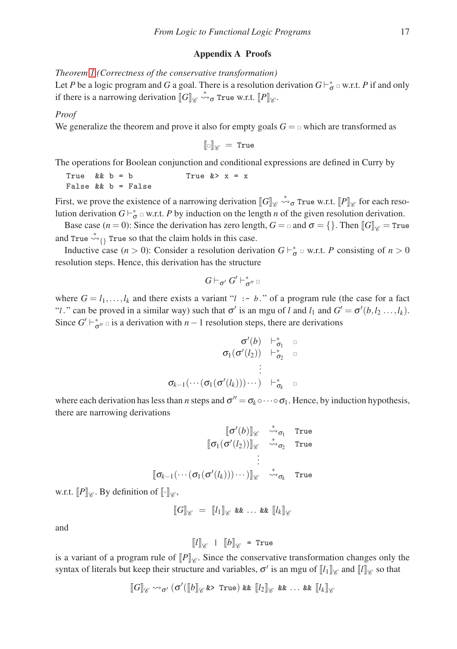#### Appendix A Proofs

*Theorem [1](#page-4-2) (Correctness of the conservative transformation)*

Let *P* be a logic program and *G* a goal. There is a resolution derivation  $G\vdash_{\sigma}^* \vartriangle$  w.r.t. *P* if and only if there is a narrowing derivation  $\llbracket G \rrbracket_{\mathscr{C}} \stackrel{*}{\leadsto} \sigma$  True w.r.t.  $\llbracket P \rrbracket_{\mathscr{C}}$ .

#### *Proof*

We generalize the theorem and prove it also for empty goals  $G = \alpha$  which are transformed as

 $\llbracket \Box \rrbracket_{\mathscr{D}} = \texttt{True}$ 

The operations for Boolean conjunction and conditional expressions are defined in Curry by

True &&  $b = b$  True  $k > x = x$ False && b = False

First, we prove the existence of a narrowing derivation  $[\![G]\!]_{\mathscr{C}} \stackrel{*}{\leadsto} \sigma$  True w.r.t.  $[\![P]\!]_{\mathscr{C}}$  for each resolution derivation  $G \vdash_{\sigma}^* \varphi$  w.r.t. *P* by induction on the length *n* of the given resolution derivation.

Base case (*n* = 0): Since the derivation has zero length,  $G = \alpha$  and  $\sigma = \{\}$ . Then  $\llbracket G \rrbracket_{\mathscr{C}} = \text{True}$ and True  $\stackrel{*}{\rightsquigarrow}$  True so that the claim holds in this case.

Inductive case  $(n > 0)$ : Consider a resolution derivation  $G \vdash_{\sigma}^* \Box$  w.r.t. *P* consisting of  $n > 0$ resolution steps. Hence, this derivation has the structure

$$
G\vdash_{\sigma'} G'\vdash_{\sigma''}^*\Box
$$

where  $G = l_1, \ldots, l_k$  and there exists a variant "*l* :- *b*." of a program rule (the case for a fact "*l*." can be proved in a similar way) such that  $\sigma'$  is an mgu of *l* and  $l_1$  and  $G' = \sigma'(b, l_2 ..., l_k)$ . Since  $G' \vdash_{\sigma''}^*$  is a derivation with *n* − 1 resolution steps, there are derivations

σ ′ (*b*) ⊢ ∗ <sup>σ</sup>1 <sup>σ</sup>1(<sup>σ</sup> ′ (*l*2)) ⊢ ∗ <sup>σ</sup>2 . . . <sup>σ</sup>*k*−1(···(<sup>σ</sup>1(<sup>σ</sup> ′ (*lk*)))···) ⊢ ∗ <sup>σ</sup>*k*

where each derivation has less than *n* steps and  $\sigma'' = \sigma_k \circ \cdots \circ \sigma_1$ . Hence, by induction hypothesis, there are narrowing derivations

$$
\begin{array}{cc}\n\llbracket \sigma'(b) \rrbracket_{\mathscr{C}} & \stackrel{*}{\leadsto}_{\sigma_1} & \text{True} \\
\llbracket \sigma_1(\sigma'(l_2)) \rrbracket_{\mathscr{C}} & \stackrel{*}{\leadsto}_{\sigma_2} & \text{True} \\
\vdots & \vdots & \vdots \\
\llbracket \sigma_{k-1}(\cdots(\sigma_1(\sigma'(l_k)))\cdots)\rrbracket_{\mathscr{C}} & \stackrel{*}{\leadsto}_{\sigma_k} & \text{True}\n\end{array}
$$

w.r.t.  $[P]_{\mathscr{C}}$ . By definition of  $[\![\cdot]\!]_{\mathscr{C}}$ ,

$$
\llbracket G \rrbracket_{\mathscr{C}} = \llbracket l_1 \rrbracket_{\mathscr{C}} \& \& \dots \& \llbracket l_k \rrbracket_{\mathscr{C}}
$$

and

$$
[[l]]_{\mathscr{C}} + [[b]]_{\mathscr{C}} = \text{True}
$$

is a variant of a program rule of  $[P]_{\mathscr{C}}$ . Since the conservative transformation changes only the syntax of literals but keep their structure and variables,  $\sigma'$  is an mgu of  $\llbracket l \rrbracket_{\mathscr{C}}$  and  $\llbracket l \rrbracket_{\mathscr{C}}$  so that

$$
[\![G]\!]_{\mathscr{C}} \leadsto_{\sigma'} (\sigma'([\![b]\!]_{\mathscr{C}} \text{ for some } \ker [\![l_2]\!]_{\mathscr{C}} \text{ for } \ldots \text{ for } [\![l_k]\!]_{\mathscr{C}}
$$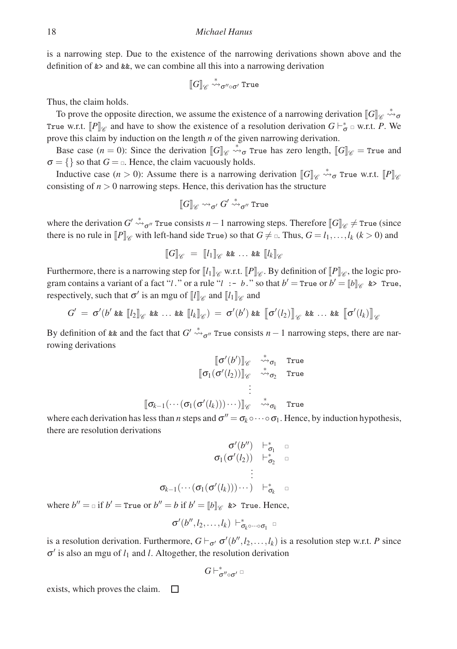is a narrowing step. Due to the existence of the narrowing derivations shown above and the definition of &> and &&, we can combine all this into a narrowing derivation

$$
[\![G]\!]_{\mathscr{C}} \stackrel{*}{\leadsto_{\sigma'' \circ \sigma'}} \text{True}
$$

Thus, the claim holds.

To prove the opposite direction, we assume the existence of a narrowing derivation  $[\![G]\!]_{\mathscr{C}} \stackrel{*}{\leadsto} \sigma$ True w.r.t.  $[P]$ <sub>*⊗*</sub> and have to show the existence of a resolution derivation  $G \vdash_{\sigma}^* \Box$  w.r.t. *P*. We prove this claim by induction on the length *n* of the given narrowing derivation.

Base case  $(n = 0)$ : Since the derivation  $\llbracket G \rrbracket_{\mathscr{C}} \stackrel{*}{\leadsto} \sigma$  True has zero length,  $\llbracket G \rrbracket_{\mathscr{C}} =$  True and  $\sigma = \{\}$  so that  $G = \sigma$ . Hence, the claim vacuously holds.

Inductive case  $(n > 0)$ : Assume there is a narrowing derivation  $\llbracket G \rrbracket_{\mathscr{C}} \stackrel{*}{\leadsto} \sigma$  True w.r.t.  $\llbracket P \rrbracket_{\mathscr{C}}$ consisting of  $n > 0$  narrowing steps. Hence, this derivation has the structure

$$
[\![G]\!]_{\mathscr{C}} \leadsto_{\sigma'} G' \overset{*}{\leadsto}_{\sigma''} \text{True}
$$

where the derivation  $G' \stackrel{*}{\leadsto} \sigma''$  True consists  $n-1$  narrowing steps. Therefore  $\llbracket G \rrbracket_{\mathscr{C}} \neq \text{True}$  (since there is no rule in  $[P]_{\mathscr{C}}$  with left-hand side True) so that  $G \neq \emptyset$ . Thus,  $G = l_1, \ldots, l_k$  ( $k > 0$ ) and

$$
\llbracket G \rrbracket_{\mathscr{C}} = \llbracket l_1 \rrbracket_{\mathscr{C}} \&\& \dots \& \llbracket l_k \rrbracket_{\mathscr{C}}
$$

Furthermore, there is a narrowing step for  $\llbracket l_1 \rrbracket_{\mathscr{C}}$  w.r.t.  $\llbracket P \rrbracket_{\mathscr{C}}$ . By definition of  $\llbracket P \rrbracket_{\mathscr{C}}$ , the logic program contains a variant of a fact "*l*." or a rule "*l* :- *b*." so that  $b' = \text{True or } b' = [b]_{\mathscr{C}}$  &> True, respectively, such that  $\sigma'$  is an mgu of  $\llbracket l \rrbracket_{\mathscr{C}}$  and  $\llbracket l_1 \rrbracket_{\mathscr{C}}$  and

$$
G' = \sigma'(b' \& [l_2]_{\mathscr{C}} \& \ldots \& [l_k]_{\mathscr{C}}) = \sigma'(b') \& \lbrack \sigma'(l_2) \rbrack_{\mathscr{C}} \& \ldots \& \lbrack \sigma'(l_k) \rbrack_{\mathscr{C}}
$$

By definition of  $\&$  and the fact that  $G' \stackrel{*}{\leadsto}_{\sigma''}$  True consists  $n-1$  narrowing steps, there are narrowing derivations

$$
\begin{array}{cc}\|\sigma'(b')\|_{\mathscr{C}}&\stackrel{*}{\leadsto}_{\sigma_1}&\text{True}\\\|\sigma_1(\sigma'(l_2))\|_{\mathscr{C}}&\stackrel{*}{\leadsto}_{\sigma_2}&\text{True}\\\vdots&\\[\sigma_{k-1}(\cdots(\sigma_1(\sigma'(l_k)))\cdots)]_{\mathscr{C}}&\stackrel{*}{\leadsto}_{\sigma_k}&\text{True}\end{array}
$$

where each derivation has less than *n* steps and  $\sigma'' = \sigma_k \circ \cdots \circ \sigma_1$ . Hence, by induction hypothesis, there are resolution derivations

$$
\sigma'(b'') \quad \vdash^*_{\sigma_1} \quad \square
$$
\n
$$
\sigma_1(\sigma'(l_2)) \quad \vdash^*_{\sigma_2} \quad \square
$$
\n
$$
\vdots
$$
\n
$$
\sigma_{k-1}(\cdots(\sigma_1(\sigma'(l_k)))\cdots) \quad \vdash^*_{\sigma_k} \quad \square
$$

where  $b'' = \ln \text{if } b' = \text{True or } b'' = b \text{ if } b' = \llbracket b \rrbracket_{\mathscr{C}} \text{ and } \text{True. Hence,}$ 

$$
\sigma'(b'',l_2,\ldots,l_k)\vdash^*_{\sigma_k\circ\cdots\circ\sigma_1} \Box
$$

is a resolution derivation. Furthermore,  $G \vdash_{\sigma'} \sigma'(b'', l_2, \ldots, l_k)$  is a resolution step w.r.t. *P* since  $\sigma'$  is also an mgu of  $l_1$  and *l*. Altogether, the resolution derivation

$$
G\vdash^*_{\sigma''\circ\sigma'}\text{ }\Box
$$

exists, which proves the claim. $\Box$